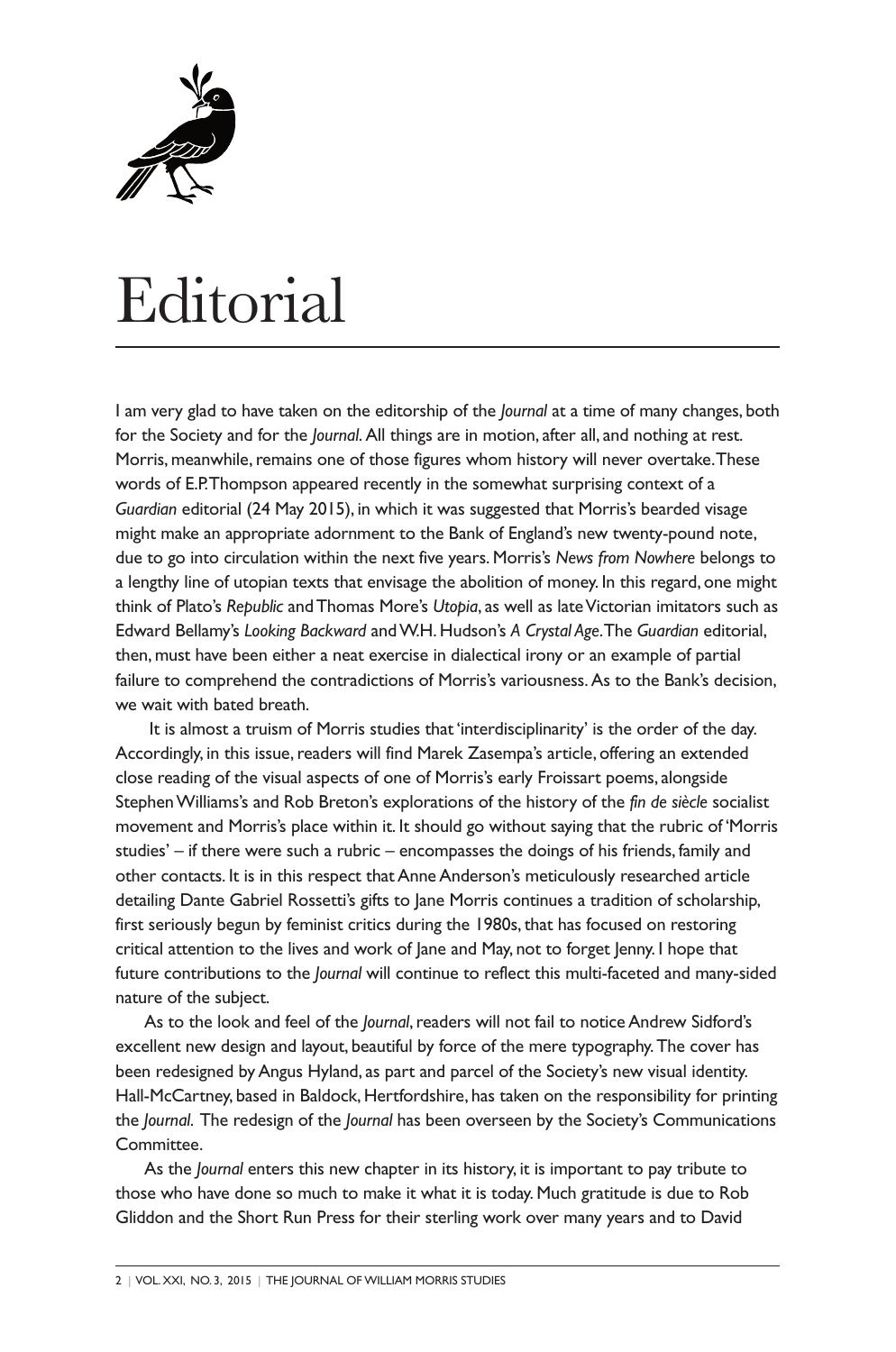

## Editorial

I am very glad to have taken on the editorship of the *Journal* at a time of many changes, both for the Society and for the *Journal*. All things are in motion, after all, and nothing at rest. Morris, meanwhile, remains one of those figures whom history will never overtake. These words of E.P. Thompson appeared recently in the somewhat surprising context of a *Guardian* editorial (24 May 2015), in which it was suggested that Morris's bearded visage might make an appropriate adornment to the Bank of England's new twenty-pound note, due to go into circulation within the next five years. Morris's *News from Nowhere* belongs to a lengthy line of utopian texts that envisage the abolition of money. In this regard, one might think of Plato's *Republic* and Thomas More's *Utopia*, as well as late Victorian imitators such as Edward Bellamy's *Looking Backward* and W.H. Hudson's *A Crystal Age*. The *Guardian* editorial, then, must have been either a neat exercise in dialectical irony or an example of partial failure to comprehend the contradictions of Morris's variousness. As to the Bank's decision, we wait with bated breath.

It is almost a truism of Morris studies that 'interdisciplinarity' is the order of the day. Accordingly, in this issue, readers will find Marek Zasempa's article, offering an extended close reading of the visual aspects of one of Morris's early Froissart poems, alongside Stephen Williams's and Rob Breton's explorations of the history of the *fin de siècle* socialist movement and Morris's place within it. It should go without saying that the rubric of 'Morris studies' – if there were such a rubric – encompasses the doings of his friends, family and other contacts. It is in this respect that Anne Anderson's meticulously researched article detailing Dante Gabriel Rossetti's gifts to Jane Morris continues a tradition of scholarship, first seriously begun by feminist critics during the 1980s, that has focused on restoring critical attention to the lives and work of Jane and May, not to forget Jenny. I hope that future contributions to the *Journal* will continue to reflect this multi-faceted and many-sided nature of the subject.

As to the look and feel of the *Journal*, readers will not fail to notice Andrew Sidford's excellent new design and layout, beautiful by force of the mere typography.The cover has been redesigned by Angus Hyland, as part and parcel of the Society's new visual identity. Hall-McCartney, based in Baldock, Hertfordshire, has taken on the responsibility for printing the *Journal*. The redesign of the *Journal* has been overseen by the Society's Communications Committee.

As the *Journal* enters this new chapter in its history, it is important to pay tribute to those who have done so much to make it what it is today. Much gratitude is due to Rob Gliddon and the Short Run Press for their sterling work over many years and to David